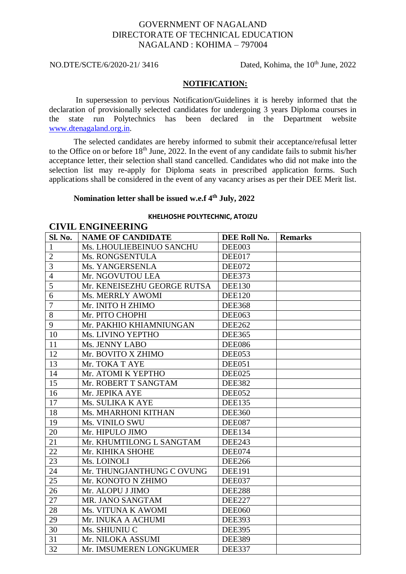# GOVERNMENT OF NAGALAND DIRECTORATE OF TECHNICAL EDUCATION NAGALAND : KOHIMA – 797004

**CIVIL ENGINEERING**

NO.DTE/SCTE/6/2020-21/ 3416 Dated, Kohima, the 10<sup>th</sup> June, 2022

### **NOTIFICATION:**

In supersession to pervious Notification/Guidelines it is hereby informed that the declaration of provisionally selected candidates for undergoing 3 years Diploma courses in the state run Polytechnics has been declared in the Department website [www.dtenagaland.org.in.](http://www.dtenagaland.org.in/)

The selected candidates are hereby informed to submit their acceptance/refusal letter to the Office on or before  $18<sup>th</sup>$  June, 2022. In the event of any candidate fails to submit his/her acceptance letter, their selection shall stand cancelled. Candidates who did not make into the selection list may re-apply for Diploma seats in prescribed application forms. Such applications shall be considered in the event of any vacancy arises as per their DEE Merit list.

## **Nomination letter shall be issued w.e.f 4th July, 2022**

#### **KHELHOSHE POLYTECHNIC, ATOIZU**

|                |                             | CIVIL ENGINEERING |                |  |  |  |
|----------------|-----------------------------|-------------------|----------------|--|--|--|
| <b>Sl. No.</b> | <b>NAME OF CANDIDATE</b>    | DEE Roll No.      | <b>Remarks</b> |  |  |  |
| $\mathbf{1}$   | Ms. LHOULIEBEINUO SANCHU    | DEE003            |                |  |  |  |
| $\mathfrak{2}$ | Ms. RONGSENTULA             | DEE017            |                |  |  |  |
| $\overline{3}$ | Ms. YANGERSENLA             | DEE072            |                |  |  |  |
| $\overline{4}$ | Mr. NGOVUTOU LEA            | <b>DEE373</b>     |                |  |  |  |
| $\overline{5}$ | Mr. KENEISEZHU GEORGE RUTSA | <b>DEE130</b>     |                |  |  |  |
| 6              | Ms. MERRLY AWOMI            | <b>DEE120</b>     |                |  |  |  |
| $\overline{7}$ | Mr. INITO H ZHIMO           | <b>DEE368</b>     |                |  |  |  |
| 8              | Mr. PITO CHOPHI             | <b>DEE063</b>     |                |  |  |  |
| 9              | Mr. PAKHIO KHIAMNIUNGAN     | <b>DEE262</b>     |                |  |  |  |
| 10             | Ms. LIVINO YEPTHO           | <b>DEE365</b>     |                |  |  |  |
| 11             | Ms. JENNY LABO              | <b>DEE086</b>     |                |  |  |  |
| 12             | Mr. BOVITO X ZHIMO          | DEE053            |                |  |  |  |
| 13             | Mr. TOKA T AYE              | DEE051            |                |  |  |  |
| 14             | Mr. ATOMI K YEPTHO          | DEE025            |                |  |  |  |
| 15             | Mr. ROBERT T SANGTAM        | <b>DEE382</b>     |                |  |  |  |
| 16             | Mr. JEPIKA AYE              | DEE052            |                |  |  |  |
| 17             | Ms. SULIKA K AYE            | <b>DEE135</b>     |                |  |  |  |
| 18             | Ms. MHARHONI KITHAN         | <b>DEE360</b>     |                |  |  |  |
| 19             | Ms. VINILO SWU              | DEE087            |                |  |  |  |
| 20             | Mr. HIPULO JIMO             | <b>DEE134</b>     |                |  |  |  |
| 21             | Mr. KHUMTILONG L SANGTAM    | <b>DEE243</b>     |                |  |  |  |
| 22             | Mr. KIHIKA SHOHE            | DEE074            |                |  |  |  |
| 23             | Ms. LOINOLI                 | <b>DEE266</b>     |                |  |  |  |
| 24             | Mr. THUNGJANTHUNG C OVUNG   | <b>DEE191</b>     |                |  |  |  |
| 25             | Mr. KONOTO N ZHIMO          | DEE037            |                |  |  |  |
| 26             | Mr. ALOPU J JIMO            | <b>DEE288</b>     |                |  |  |  |
| 27             | MR. JANO SANGTAM            | <b>DEE227</b>     |                |  |  |  |
| 28             | Ms. VITUNA K AWOMI          | <b>DEE060</b>     |                |  |  |  |
| 29             | Mr. INUKA A ACHUMI          | <b>DEE393</b>     |                |  |  |  |
| 30             | Ms. SHIUNIU C               | <b>DEE395</b>     |                |  |  |  |
| 31             | Mr. NILOKA ASSUMI           | <b>DEE389</b>     |                |  |  |  |
| 32             | Mr. IMSUMEREN LONGKUMER     | <b>DEE337</b>     |                |  |  |  |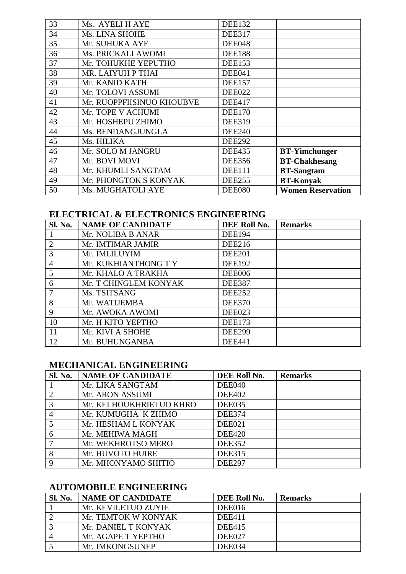| 33 | Ms. AYELI H AYE           | <b>DEE132</b> |                          |
|----|---------------------------|---------------|--------------------------|
| 34 | Ms. LINA SHOHE            | <b>DEE317</b> |                          |
| 35 | Mr. SUHUKA AYE            | <b>DEE048</b> |                          |
| 36 | Ms. PRICKALI AWOMI        | <b>DEE188</b> |                          |
| 37 | Mr. TOHUKHE YEPUTHO       | <b>DEE153</b> |                          |
| 38 | MR. LAIYUH P THAI         | DEE041        |                          |
| 39 | Mr. KANID KATH            | <b>DEE157</b> |                          |
| 40 | Mr. TOLOVI ASSUMI         | <b>DEE022</b> |                          |
| 41 | Mr. RUOPPFIISINUO KHOUBVE | <b>DEE417</b> |                          |
| 42 | Mr. TOPE V ACHUMI         | <b>DEE170</b> |                          |
| 43 | Mr. HOSHEPU ZHIMO         | <b>DEE319</b> |                          |
| 44 | Ms. BENDANGJUNGLA         | <b>DEE240</b> |                          |
| 45 | Ms. HILIKA                | <b>DEE292</b> |                          |
| 46 | Mr. SOLO M JANGRU         | <b>DEE435</b> | <b>BT-Yimchunger</b>     |
| 47 | Mr. BOVI MOVI             | <b>DEE356</b> | <b>BT-Chakhesang</b>     |
| 48 | Mr. KHUMLI SANGTAM        | <b>DEE111</b> | <b>BT-Sangtam</b>        |
| 49 | Mr. PHONGTOK S KONYAK     | <b>DEE255</b> | <b>BT-Konyak</b>         |
| 50 | Ms. MUGHATOLI AYE         | <b>DEE080</b> | <b>Women Reservation</b> |

# **ELECTRICAL & ELECTRONICS ENGINEERING**

| Sl. No.        | <b>NAME OF CANDIDATE</b> | DEE Roll No.  | <b>Remarks</b> |
|----------------|--------------------------|---------------|----------------|
|                | Mr. NOLIBA B ANAR        | <b>DEE194</b> |                |
| $\overline{2}$ | Mr. IMTIMAR JAMIR        | <b>DEE216</b> |                |
| 3              | Mr. IMLILUYIM            | <b>DEE201</b> |                |
| $\overline{4}$ | Mr. KUKHIANTHONG T Y     | <b>DEE192</b> |                |
| 5              | Mr. KHALO A TRAKHA       | <b>DEE006</b> |                |
| 6              | Mr. T CHINGLEM KONYAK    | <b>DEE387</b> |                |
| $\tau$         | Ms. TSITSANG             | <b>DEE252</b> |                |
| 8              | Mr. WATIJEMBA            | <b>DEE370</b> |                |
| 9              | Mr. AWOKA AWOMI          | DEE023        |                |
| 10             | Mr. H KITO YEPTHO        | <b>DEE173</b> |                |
| 11             | Mr. KIVI A SHOHE         | <b>DEE299</b> |                |
| 12             | Mr. BUHUNGANBA           | <b>DEE441</b> |                |

# **MECHANICAL ENGINEERING**

| Sl. No.        | <b>NAME OF CANDIDATE</b> | DEE Roll No.  | <b>Remarks</b> |
|----------------|--------------------------|---------------|----------------|
|                | Mr. LIKA SANGTAM         | DEE040        |                |
| $\overline{2}$ | Mr. ARON ASSUMI          | <b>DEE402</b> |                |
| 3              | Mr. KELHOUKHRIETUO KHRO  | <b>DEE035</b> |                |
| $\overline{4}$ | Mr. KUMUGHA K ZHIMO      | <b>DEE374</b> |                |
| 5              | Mr. HESHAM L KONYAK      | DEE021        |                |
| 6              | Mr. MEHIWA MAGH          | <b>DEE420</b> |                |
|                | Mr. WEKHROTSO MERO       | <b>DEE352</b> |                |
| 8              | Mr. HUVOTO HUIRE         | <b>DEE315</b> |                |
| 9              | Mr. MHONYAMO SHITIO      | <b>DEE297</b> |                |

# **AUTOMOBILE ENGINEERING**

| <b>Sl. No.</b> | <b>NAME OF CANDIDATE</b> | DEE Roll No.  | <b>Remarks</b> |
|----------------|--------------------------|---------------|----------------|
|                | Mr. KEVILETUO ZUYIE      | DEE016        |                |
|                | Mr. TEMTOK W KONYAK      | <b>DEE411</b> |                |
|                | Mr. DANIEL T KONYAK      | <b>DEE415</b> |                |
|                | Mr. AGAPE T YEPTHO       | <b>DEE027</b> |                |
|                | Mr. IMKONGSUNEP          | DEE034        |                |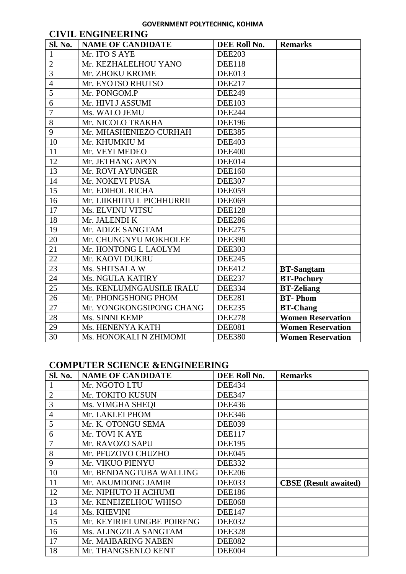#### **GOVERNMENT POLYTECHNIC, KOHIMA**

| <b>CIVIL ENGINEERING</b> |                            |               |                          |
|--------------------------|----------------------------|---------------|--------------------------|
| Sl. No.                  | <b>NAME OF CANDIDATE</b>   | DEE Roll No.  | <b>Remarks</b>           |
| $\mathbf{1}$             | Mr. ITO S AYE              | <b>DEE203</b> |                          |
| $\overline{2}$           | Mr. KEZHALELHOU YANO       | <b>DEE118</b> |                          |
| $\overline{3}$           | Mr. ZHOKU KROME            | DEE013        |                          |
| $\overline{4}$           | Mr. EYOTSO RHUTSO          | <b>DEE217</b> |                          |
| $\overline{5}$           | Mr. PONGOM.P               | <b>DEE249</b> |                          |
| 6                        | Mr. HIVI J ASSUMI          | <b>DEE103</b> |                          |
| $\overline{7}$           | Ms. WALO JEMU              | <b>DEE244</b> |                          |
| 8                        | Mr. NICOLO TRAKHA          | <b>DEE196</b> |                          |
| 9                        | Mr. MHASHENIEZO CURHAH     | <b>DEE385</b> |                          |
| 10                       | Mr. KHUMKIU M              | <b>DEE403</b> |                          |
| 11                       | Mr. VEYI MEDEO             | <b>DEE400</b> |                          |
| 12                       | Mr. JETHANG APON           | DEE014        |                          |
| 13                       | Mr. ROVI AYUNGER           | <b>DEE160</b> |                          |
| 14                       | Mr. NOKEVI PUSA            | <b>DEE307</b> |                          |
| 15                       | Mr. EDIHOL RICHA           | <b>DEE059</b> |                          |
| 16                       | Mr. LIIKHIITU L PICHHURRII | <b>DEE069</b> |                          |
| 17                       | Ms. ELVINU VITSU           | <b>DEE128</b> |                          |
| 18                       | Mr. JALENDI K              | <b>DEE286</b> |                          |
| 19                       | Mr. ADIZE SANGTAM          | <b>DEE275</b> |                          |
| 20                       | Mr. CHUNGNYU MOKHOLEE      | <b>DEE390</b> |                          |
| 21                       | Mr. HONTONG L LAOLYM       | <b>DEE303</b> |                          |
| 22                       | Mr. KAOVI DUKRU            | <b>DEE245</b> |                          |
| 23                       | Ms. SHITSALA W             | <b>DEE412</b> | <b>BT-Sangtam</b>        |
| 24                       | Ms. NGULA KATIRY           | <b>DEE237</b> | <b>BT-Pochury</b>        |
| 25                       | Ms. KENLUMNGAUSILE IRALU   | <b>DEE334</b> | <b>BT-Zeliang</b>        |
| 26                       | Mr. PHONGSHONG PHOM        | <b>DEE281</b> | <b>BT-Phom</b>           |
| 27                       | Mr. YONGKONGSIPONG CHANG   | <b>DEE235</b> | <b>BT-Chang</b>          |
| 28                       | Ms. SINNI KEMP             | <b>DEE278</b> | <b>Women Reservation</b> |
| 29                       | Ms. HENENYA KATH           | <b>DEE081</b> | <b>Women Reservation</b> |
| 30                       | Ms. HONOKALI N ZHIMOMI     | <b>DEE380</b> | <b>Women Reservation</b> |

# **COMPUTER SCIENCE &ENGINEERING**

| <b>Sl. No.</b> | <b>NAME OF CANDIDATE</b>  | DEE Roll No.  | <b>Remarks</b>               |
|----------------|---------------------------|---------------|------------------------------|
|                | Mr. NGOTO LTU             | <b>DEE434</b> |                              |
| $\overline{2}$ | Mr. TOKITO KUSUN          | <b>DEE347</b> |                              |
| 3              | Ms. VIMGHA SHEQI          | <b>DEE436</b> |                              |
| $\overline{4}$ | Mr. LAKLEI PHOM           | <b>DEE346</b> |                              |
| 5              | Mr. K. OTONGU SEMA        | <b>DEE039</b> |                              |
| 6              | Mr. TOVI K AYE            | <b>DEE117</b> |                              |
| 7              | Mr. RAVOZO SAPU           | <b>DEE195</b> |                              |
| 8              | Mr. PFUZOVO CHUZHO        | DEE045        |                              |
| 9              | Mr. VIKUO PIENYU          | <b>DEE332</b> |                              |
| 10             | Mr. BENDANGTUBA WALLING   | <b>DEE206</b> |                              |
| 11             | Mr. AKUMDONG JAMIR        | DEE033        | <b>CBSE</b> (Result awaited) |
| 12             | Mr. NIPHUTO H ACHUMI      | <b>DEE186</b> |                              |
| 13             | Mr. KENEIZELHOU WHISO     | <b>DEE068</b> |                              |
| 14             | Ms. KHEVINI               | <b>DEE147</b> |                              |
| 15             | Mr. KEYIRIELUNGBE POIRENG | DEE032        |                              |
| 16             | Ms. ALINGZILA SANGTAM     | <b>DEE328</b> |                              |
| 17             | Mr. MAIBARING NABEN       | <b>DEE082</b> |                              |
| 18             | Mr. THANGSENLO KENT       | DEE004        |                              |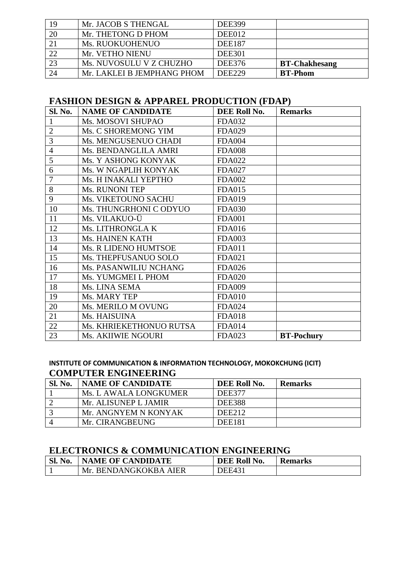| 24 | Mr. LAKLEI B JEMPHANG PHOM | <b>DEE229</b> | <b>BT-Phom</b>       |
|----|----------------------------|---------------|----------------------|
| 23 | Ms. NUVOSULU V Z CHUZHO    | <b>DEE376</b> | <b>BT-Chakhesang</b> |
| 22 | Mr. VETHO NIENU            | <b>DEE301</b> |                      |
| 21 | Ms. RUOKUOHENUO            | <b>DEE187</b> |                      |
| 20 | Mr. THETONG D PHOM         | DEE012        |                      |
| 19 | Mr. JACOB S THENGAL        | <b>DEE399</b> |                      |

# **FASHION DESIGN & APPAREL PRODUCTION (FDAP)**

| Sl. No.        | <b>NAME OF CANDIDATE</b> | DEE Roll No.  | <b>Remarks</b>    |
|----------------|--------------------------|---------------|-------------------|
| $\mathbf{1}$   | Ms. MOSOVI SHUPAO        | <b>FDA032</b> |                   |
| $\mathbf{2}$   | Ms. C SHOREMONG YIM      | <b>FDA029</b> |                   |
| 3              | Ms. MENGUSENUO CHADI     | <b>FDA004</b> |                   |
| $\overline{4}$ | Ms. BENDANGLILA AMRI     | <b>FDA008</b> |                   |
| 5              | Ms. Y ASHONG KONYAK      | <b>FDA022</b> |                   |
| 6              | Ms. W NGAPLIH KONYAK     | <b>FDA027</b> |                   |
| $\overline{7}$ | Ms. H INAKALI YEPTHO     | <b>FDA002</b> |                   |
| 8              | Ms. RUNONI TEP           | <b>FDA015</b> |                   |
| 9              | Ms. VIKETOUNO SACHU      | <b>FDA019</b> |                   |
| 10             | Ms. THUNGRHONI C ODYUO   | <b>FDA030</b> |                   |
| 11             | Ms. VILAKUO-Ü            | <b>FDA001</b> |                   |
| 12             | Ms. LITHRONGLA K         | <b>FDA016</b> |                   |
| 13             | Ms. HAINEN KATH          | <b>FDA003</b> |                   |
| 14             | Ms. R LIDENO HUMTSOE     | <b>FDA011</b> |                   |
| 15             | Ms. THEPFUSANUO SOLO     | <b>FDA021</b> |                   |
| 16             | Ms. PASANWILIU NCHANG    | <b>FDA026</b> |                   |
| 17             | Ms. YUMGMEI L PHOM       | <b>FDA020</b> |                   |
| 18             | Ms. LINA SEMA            | <b>FDA009</b> |                   |
| 19             | Ms. MARY TEP             | <b>FDA010</b> |                   |
| 20             | Ms. MERILO M OVUNG       | <b>FDA024</b> |                   |
| 21             | Ms. HAISUINA             | <b>FDA018</b> |                   |
| 22             | Ms. KHRIEKETHONUO RUTSA  | <b>FDA014</b> |                   |
| 23             | Ms. AKIIWIE NGOURI       | <b>FDA023</b> | <b>BT-Pochury</b> |

# **INSTITUTE OF COMMUNICATION & INFORMATION TECHNOLOGY, MOKOKCHUNG (ICIT) COMPUTER ENGINEERING**

| Sl. No. | <b>NAME OF CANDIDATE</b> | DEE Roll No.  | <b>Remarks</b> |
|---------|--------------------------|---------------|----------------|
|         | Ms. L AWALA LONGKUMER    | DEE377        |                |
|         | Mr. ALISUNEP L JAMIR     | <b>DEE388</b> |                |
|         | Mr. ANGNYEM N KONYAK     | <b>DEE212</b> |                |
|         | Mr. CIRANGBEUNG          | <b>DEE181</b> |                |

# **ELECTRONICS & COMMUNICATION ENGINEERING**

| SL <sub>1</sub><br>No. | <b>NAME OF CANDIDATE</b> | DEE Roll No.  | <b>Remarks</b> |
|------------------------|--------------------------|---------------|----------------|
|                        | Mr. BENDANGKOKBA AIER    | <b>DEE431</b> |                |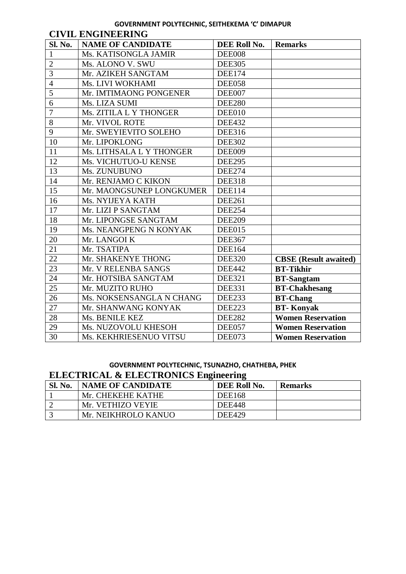## **GOVERNMENT POLYTECHNIC, SEITHEKEMA 'C' DIMAPUR**

|                | <b>CIVIL ENGINEERING</b> |               |                              |  |
|----------------|--------------------------|---------------|------------------------------|--|
| Sl. No.        | <b>NAME OF CANDIDATE</b> | DEE Roll No.  | <b>Remarks</b>               |  |
| $\mathbf{1}$   | Ms. KATISONGLA JAMIR     | <b>DEE008</b> |                              |  |
| $\overline{2}$ | Ms. ALONO V. SWU         | <b>DEE305</b> |                              |  |
| $\overline{3}$ | Mr. AZIKEH SANGTAM       | <b>DEE174</b> |                              |  |
| $\overline{4}$ | Ms. LIVI WOKHAMI         | <b>DEE058</b> |                              |  |
| 5              | Mr. IMTIMAONG PONGENER   | DEE007        |                              |  |
| 6              | Ms. LIZA SUMI            | <b>DEE280</b> |                              |  |
| $\overline{7}$ | Ms. ZITILA L Y THONGER   | DEE010        |                              |  |
| 8              | Mr. VIVOL ROTE           | <b>DEE432</b> |                              |  |
| 9              | Mr. SWEYIEVITO SOLEHO    | <b>DEE316</b> |                              |  |
| 10             | Mr. LIPOKLONG            | <b>DEE302</b> |                              |  |
| 11             | Ms. LITHSALA L Y THONGER | <b>DEE009</b> |                              |  |
| 12             | Ms. VICHUTUO-U KENSE     | <b>DEE295</b> |                              |  |
| 13             | Ms. ZUNUBUNO             | <b>DEE274</b> |                              |  |
| 14             | Mr. RENJAMO C KIKON      | <b>DEE318</b> |                              |  |
| 15             | Mr. MAONGSUNEP LONGKUMER | <b>DEE114</b> |                              |  |
| 16             | Ms. NYIJEYA KATH         | <b>DEE261</b> |                              |  |
| 17             | Mr. LIZI P SANGTAM       | <b>DEE254</b> |                              |  |
| 18             | Mr. LIPONGSE SANGTAM     | <b>DEE209</b> |                              |  |
| 19             | Ms. NEANGPENG N KONYAK   | DEE015        |                              |  |
| 20             | Mr. LANGOI K             | <b>DEE367</b> |                              |  |
| 21             | Mr. TSATIPA              | <b>DEE164</b> |                              |  |
| 22             | Mr. SHAKENYE THONG       | <b>DEE320</b> | <b>CBSE</b> (Result awaited) |  |
| 23             | Mr. V RELENBA SANGS      | <b>DEE442</b> | <b>BT-Tikhir</b>             |  |
| 24             | Mr. HOTSIBA SANGTAM      | <b>DEE321</b> | <b>BT-Sangtam</b>            |  |
| 25             | Mr. MUZITO RUHO          | <b>DEE331</b> | <b>BT-Chakhesang</b>         |  |
| 26             | Ms. NOKSENSANGLA N CHANG | <b>DEE233</b> | <b>BT-Chang</b>              |  |
| 27             | Mr. SHANWANG KONYAK      | <b>DEE223</b> | <b>BT-Konyak</b>             |  |
| 28             | Ms. BENILE KEZ           | <b>DEE282</b> | <b>Women Reservation</b>     |  |
| 29             | Ms. NUZOVOLU KHESOH      | DEE057        | <b>Women Reservation</b>     |  |
| 30             | Ms. KEKHRIESENUO VITSU   | DEE073        | <b>Women Reservation</b>     |  |

# **GOVERNMENT POLYTECHNIC, TSUNAZHO, CHATHEBA, PHEK ELECTRICAL & ELECTRONICS Engineering**

| <b>Sl. No.</b> | <b>NAME OF CANDIDATE</b> | DEE Roll No.  | <b>Remarks</b> |
|----------------|--------------------------|---------------|----------------|
|                | Mr. CHEKEHE KATHE        | <b>DEE168</b> |                |
|                | Mr. VETHIZO VEYIE        | <b>DEE448</b> |                |
|                | Mr. NEIKHROLO KANUO      | <b>DEE429</b> |                |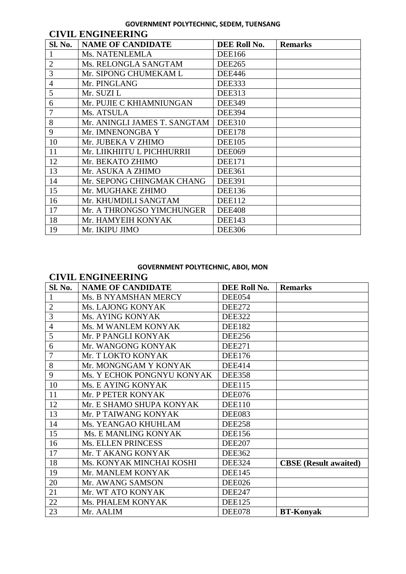#### **GOVERNMENT POLYTECHNIC, SEDEM, TUENSANG**

| <b>CIVIL ENGINEERING</b> |                              |               |                |  |
|--------------------------|------------------------------|---------------|----------------|--|
| Sl. No.                  | <b>NAME OF CANDIDATE</b>     | DEE Roll No.  | <b>Remarks</b> |  |
|                          | Ms. NATENLEMLA               | <b>DEE166</b> |                |  |
| $\overline{2}$           | Ms. RELONGLA SANGTAM         | <b>DEE265</b> |                |  |
| 3                        | Mr. SIPONG CHUMEKAM L        | <b>DEE446</b> |                |  |
| $\overline{4}$           | Mr. PINGLANG                 | <b>DEE333</b> |                |  |
| 5                        | Mr. SUZI L                   | <b>DEE313</b> |                |  |
| 6                        | Mr. PUJIE C KHIAMNIUNGAN     | <b>DEE349</b> |                |  |
| 7                        | Ms. ATSULA                   | <b>DEE394</b> |                |  |
| 8                        | Mr. ANINGLI JAMES T. SANGTAM | <b>DEE310</b> |                |  |
| 9                        | Mr. IMNENONGBA Y             | <b>DEE178</b> |                |  |
| 10                       | Mr. JUBEKA V ZHIMO           | <b>DEE105</b> |                |  |
| 11                       | Mr. LIIKHIITU L PICHHURRII   | <b>DEE069</b> |                |  |
| 12                       | Mr. BEKATO ZHIMO             | <b>DEE171</b> |                |  |
| 13                       | Mr. ASUKA A ZHIMO            | <b>DEE361</b> |                |  |
| 14                       | Mr. SEPONG CHINGMAK CHANG    | <b>DEE391</b> |                |  |
| 15                       | Mr. MUGHAKE ZHIMO            | <b>DEE136</b> |                |  |
| 16                       | Mr. KHUMDILI SANGTAM         | <b>DEE112</b> |                |  |
| 17                       | Mr. A THRONGSO YIMCHUNGER    | <b>DEE408</b> |                |  |
| 18                       | Mr. HAMYEIH KONYAK           | <b>DEE143</b> |                |  |
| 19                       | Mr. IKIPU JIMO               | <b>DEE306</b> |                |  |

#### **GOVERNMENT POLYTECHNIC, ABOI, MON**

# **CIVIL ENGINEERING Sl. No. NAME OF CANDIDATE DEE Roll No. Remarks** 1 Ms. B NYAMSHAN MERCY DEE054 2 | Ms. LAJONG KONYAK | DEE272 3 Ms. AYING KONYAK DEE322 4 Ms. M WANLEM KONYAK DEE182 5 Mr. P PANGLI KONYAK DEE256 6 Mr. WANGONG KONYAK DEE271 7 Mr. T LOKTO KONYAK DEE176 8 Mr. MONGNGAM Y KONYAK DEE414 9 Ms. Y ECHOK PONGNYU KONYAK DEE358 10 Ms. E AYING KONYAK DEE115 11 Mr. P PETER KONYAK DEE076 12 Mr. E SHAMO SHUPA KONYAK | DEE110 13 Mr. P TAIWANG KONYAK DEE083 14 Ms. YEANGAO KHUHLAM DEE258 15 Ms. E MANLING KONYAK DEE156 16 Ms. ELLEN PRINCESS DEE207 17 Mr. T AKANG KONYAK DEE362 18 Ms. KONYAK MINCHAI KOSHI DEE324 **CBSE (Result awaited)**

23 Mr. AALIM DEE078 **BT-Konyak**

19 Mr. MANLEM KONYAK DEE145 20 Mr. AWANG SAMSON DEE026 21 Mr. WT ATO KONYAK DEE247 22 Ms. PHALEM KONYAK DEE125